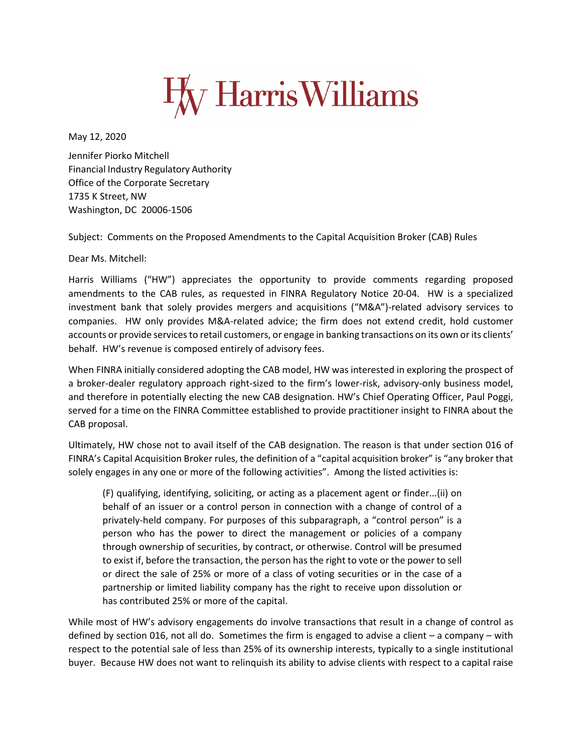

May 12, 2020

Jennifer Piorko Mitchell Financial Industry Regulatory Authority Office of the Corporate Secretary 1735 K Street, NW Washington, DC 20006-1506

Subject: Comments on the Proposed Amendments to the Capital Acquisition Broker (CAB) Rules

Dear Ms. Mitchell:

Harris Williams ("HW") appreciates the opportunity to provide comments regarding proposed amendments to the CAB rules, as requested in FINRA Regulatory Notice 20-04. HW is a specialized investment bank that solely provides mergers and acquisitions ("M&A")-related advisory services to companies. HW only provides M&A-related advice; the firm does not extend credit, hold customer accounts or provide services to retail customers, or engage in banking transactions on its own or its clients' behalf. HW's revenue is composed entirely of advisory fees.

When FINRA initially considered adopting the CAB model, HW was interested in exploring the prospect of a broker-dealer regulatory approach right-sized to the firm's lower-risk, advisory-only business model, and therefore in potentially electing the new CAB designation. HW's Chief Operating Officer, Paul Poggi, served for a time on the FINRA Committee established to provide practitioner insight to FINRA about the CAB proposal.

Ultimately, HW chose not to avail itself of the CAB designation. The reason is that under section 016 of FINRA's Capital Acquisition Broker rules, the definition of a "capital acquisition broker" is "any broker that solely engages in any one or more of the following activities". Among the listed activities is:

(F) qualifying, identifying, soliciting, or acting as a placement agent or finder...(ii) on behalf of an issuer or a control person in connection with a change of control of a privately-held company. For purposes of this subparagraph, a "control person" is a person who has the power to direct the management or policies of a company through ownership of securities, by contract, or otherwise. Control will be presumed to exist if, before the transaction, the person has the right to vote or the power to sell or direct the sale of 25% or more of a class of voting securities or in the case of a partnership or limited liability company has the right to receive upon dissolution or has contributed 25% or more of the capital.

While most of HW's advisory engagements do involve transactions that result in a change of control as defined by section 016, not all do. Sometimes the firm is engaged to advise a client – a company – with respect to the potential sale of less than 25% of its ownership interests, typically to a single institutional buyer. Because HW does not want to relinquish its ability to advise clients with respect to a capital raise